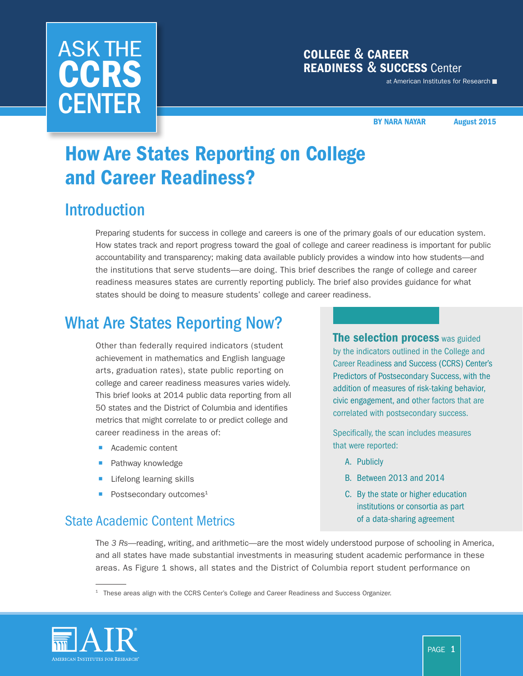# ASK THE **CCRS CENTER**

### COLLEGE & CAREER READINESS & SUCCESS Center

at American Institutes for Research

BY NARA NAYAR August 2015

## How Are States Reporting on College and Career Readiness?

## Introduction

Preparing students for success in college and careers is one of the primary goals of our education system. How states track and report progress toward the goal of college and career readiness is important for public accountability and transparency; making data available publicly provides a window into how students—and the institutions that serve students—are doing. This brief describes the range of college and career readiness measures states are currently reporting publicly. The brief also provides guidance for what states should be doing to measure students' college and career readiness.

## What Are States Reporting Now?

Other than federally required indicators (student achievement in mathematics and English language arts, graduation rates), state public reporting on college and career readiness measures varies widely. This brief looks at 2014 public data reporting from all 50 states and the District of Columbia and identifies metrics that might correlate to or predict college and career readiness in the areas of: 

- Academic content
- Pathway knowledge
- Lifelong learning skills
- Postsecondary outcomes<sup>1</sup>

### State Academic Content Metrics **State Academic Content Metrics** and *State State of a data-sharing agreement*

**The selection process** was guided by the indicators outlined in the College and Career Readiness and Success (CCRS) Center's Predictors of Postsecondary Success, with the addition of measures of risk-taking behavior, civic engagement, and other factors that are correlated with postsecondary success.

Specifically, the scan includes measures that were reported:

- A. Publicly
- B. Between 2013 and 2014
- C. By the state or higher education institutions or consortia as part

The *3 Rs*—reading, writing, and arithmetic—are the most widely understood purpose of schooling in America, and all states have made substantial investments in measuring student academic performance in these areas. As Figure 1 shows, all states and the District of Columbia report student performance on

 $1$  These areas align with the CCRS Center's [College and Career Readiness and Success Organizer](http://www.ccrscenter.org/ccrs-landscape/ccrs-organizer).

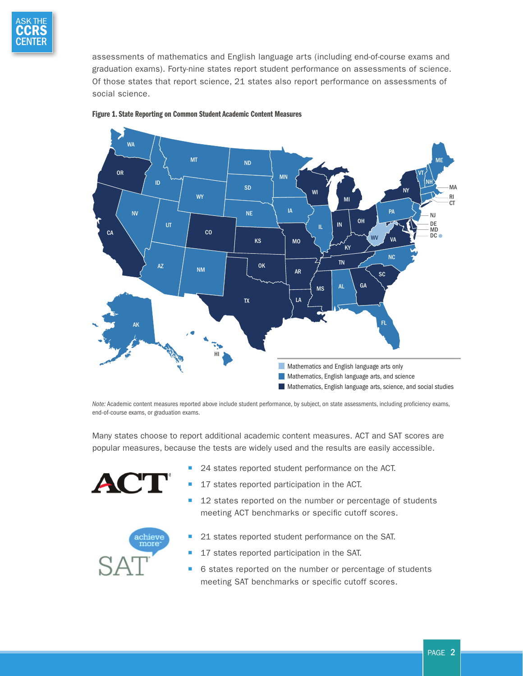

 assessments of mathematics and English language arts (including end-of-course exams and graduation exams). Forty-nine states report student performance on assessments of science. Of those states that report science, 21 states also report performance on assessments of social science.





*Note:* Academic content measures reported above include student performance, by subject, on state assessments, including proficiency exams, end-of-course exams, or graduation exams.

Many states choose to report additional academic content measures. ACT and SAT scores are popular measures, because the tests are widely used and the results are easily accessible.



- 24 states reported student performance on the ACT.
- 17 states reported participation in the ACT.
- 12 states reported on the number or percentage of students meeting ACT benchmarks or specific cutoff scores.



- 21 states reported student performance on the SAT.
- 17 states reported participation in the SAT.
- 6 states reported on the number or percentage of students meeting SAT benchmarks or specific cutoff scores.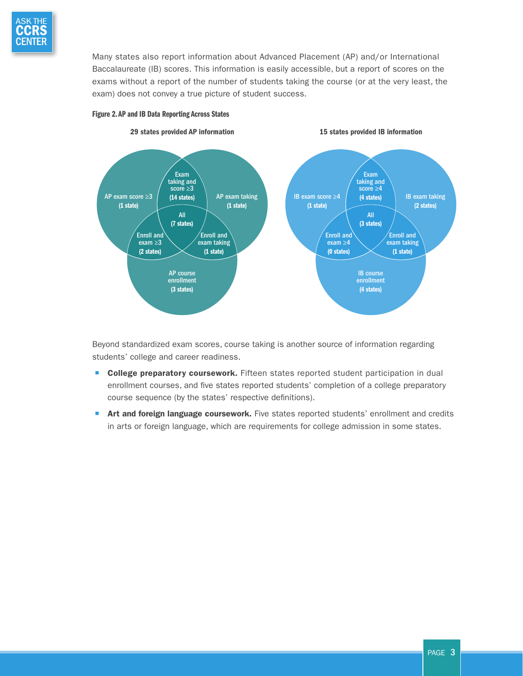

Many states also report information about Advanced Placement (AP) and/or International Baccalaureate (IB) scores. This information is easily accessible, but a report of scores on the exams without a report of the number of students taking the course (or at the very least, the exam) does not convey a true picture of student success.





Beyond standardized exam scores, course taking is another source of information regarding students' college and career readiness.

- **College preparatory coursework.** Fifteen states reported student participation in dual enrollment courses, and five states reported students' completion of a college preparatory course sequence (by the states' respective definitions).
- **T** Art and foreign language coursework. Five states reported students' enrollment and credits in arts or foreign language, which are requirements for college admission in some states.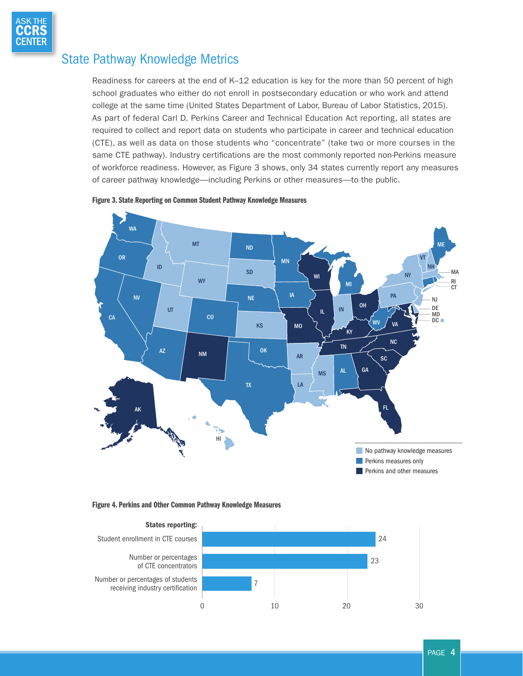

#### State Pathway Knowledge Metrics

Readiness for careers at the end of K–12 education is key for the more than 50 percent of high school graduates who either do not enroll in postsecondary education or who work and attend college at the same time [\(United States Department of Labor, Bureau of Labor Statistics, 2015\)](#page-8-0). As part of federal Carl D. Perkins Career and Technical Education Act reporting, all states are required to collect and report data on students who participate in career and technical education (CTE), as well as data on those students who "concentrate" (take two or more courses in the same CTE pathway). Industry certifications are the most commonly reported non-Perkins measure of workforce readiness. However, as Figure 3 shows, only 34 states currently report any measures of career pathway knowledge—including Perkins or other measures—to the public.







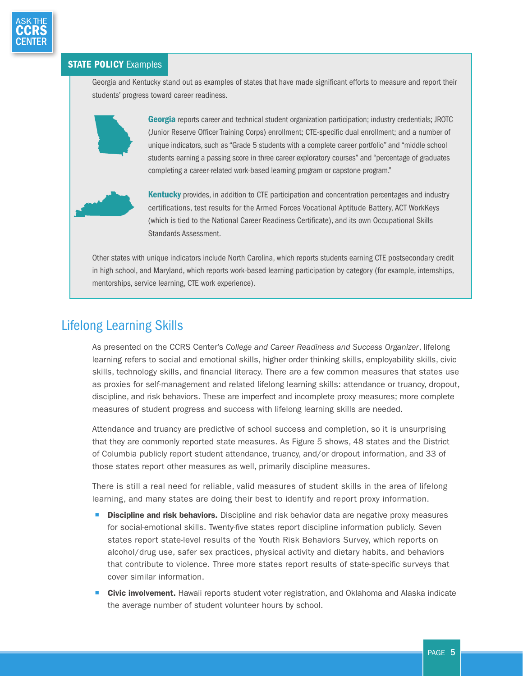

#### **STATE POLICY Examples**

Georgia and Kentucky stand out as examples of states that have made significant efforts to measure and report their students' progress toward career readiness.



Georgia reports career and technical student organization participation; industry credentials; JROTC (Junior Reserve Officer Training Corps) enrollment; CTE-specific dual enrollment; and a number of unique indicators, such as "Grade 5 students with a complete career portfolio" and "middle school students earning a passing score in three career exploratory courses" and "percentage of graduates completing a career-related work-based learning program or capstone program."



Other states with unique indicators include North Carolina, which reports students earning CTE postsecondary credit in high school, and Maryland, which reports work-based learning participation by category (for example, internships, mentorships, service learning, CTE work experience).

### Lifelong Learning Skills

As presented on the CCRS Center's *College and Career Readiness and Success Organizer*, lifelong learning refers to social and emotional skills, higher order thinking skills, employability skills, civic skills, technology skills, and financial literacy. There are a few common measures that states use as proxies for self-management and related lifelong learning skills: attendance or truancy, dropout, discipline, and risk behaviors. These are imperfect and incomplete proxy measures; more complete measures of student progress and success with lifelong learning skills are needed.

Attendance and truancy are predictive of school success and completion, so it is unsurprising that they are commonly reported state measures. As Figure 5 shows, 48 states and the District of Columbia publicly report student attendance, truancy, and/or dropout information, and 33 of those states report other measures as well, primarily discipline measures.

There is still a real need for reliable, valid measures of student skills in the area of lifelong learning, and many states are doing their best to identify and report proxy information.

- **E** Discipline and risk behaviors. Discipline and risk behavior data are negative proxy measures for social-emotional skills. Twenty-five states report discipline information publicly. Seven states report state-level results of the Youth Risk Behaviors Survey, which reports on alcohol/drug use, safer sex practices, physical activity and dietary habits, and behaviors that contribute to violence. Three more states report results of state-specific surveys that cover similar information.
- **Civic involvement.** Hawaii reports student voter registration, and Oklahoma and Alaska indicate the average number of student volunteer hours by school.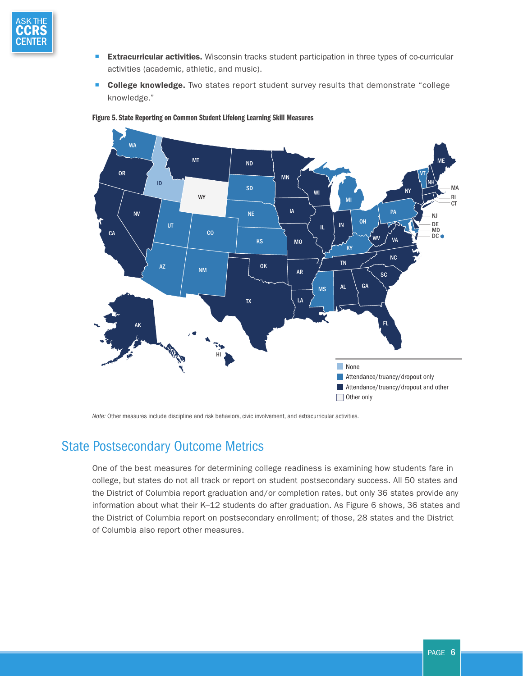

- **Extracurricular activities.** Wisconsin tracks student participation in three types of co-curricular activities (academic, athletic, and music).
- College knowledge. Two states report student survey results that demonstrate "college knowledge."



#### Figure 5. State Reporting on Common Student Lifelong Learning Skill Measures

*Note:* Other measures include discipline and risk behaviors, civic involvement, and extracurricular activities.

#### State Postsecondary Outcome Metrics

One of the best measures for determining college readiness is examining how students fare in college, but states do not all track or report on student postsecondary success. All 50 states and the District of Columbia report graduation and/or completion rates, but only 36 states provide any information about what their K–12 students do after graduation. As Figure 6 shows, 36 states and the District of Columbia report on postsecondary enrollment; of those, 28 states and the District of Columbia also report other measures.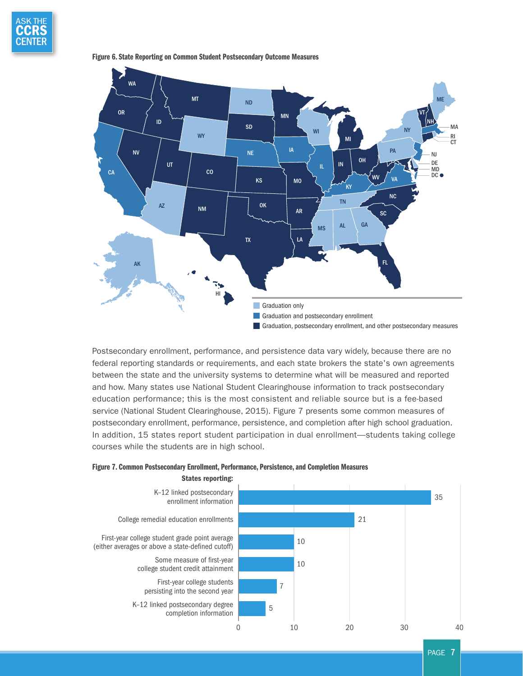



Figure 6. State Reporting on Common Student Postsecondary Outcome Measures

Postsecondary enrollment, performance, and persistence data vary widely, because there are no federal reporting standards or requirements, and each state brokers the state's own agreements between the state and the university systems to determine what will be measured and reported and how. Many states use National Student Clearinghouse information to track postsecondary education performance; this is the most consistent and reliable source but is a fee-based service [\(National Student Clearinghouse, 2015](#page-8-0)). Figure 7 presents some common measures of postsecondary enrollment, performance, persistence, and completion after high school graduation. In addition, 15 states report student participation in dual enrollment—students taking college courses while the students are in high school.



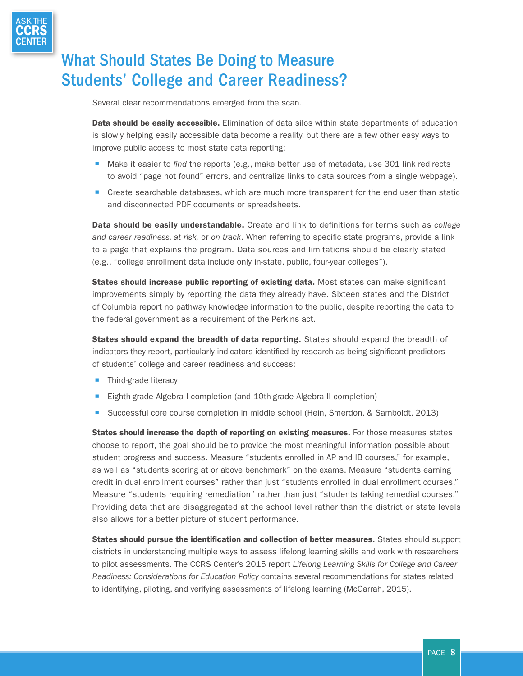

## What Should States Be Doing to Measure Students' College and Career Readiness?

Several clear recommendations emerged from the scan.

Data should be easily accessible. Elimination of data silos within state departments of education is slowly helping easily accessible data become a reality, but there are a few other easy ways to improve public access to most state data reporting:

- Make it easier to *find* the reports (e.g., make better use of metadata, use 301 link redirects to avoid "page not found" errors, and centralize links to data sources from a single webpage).
- Create searchable databases, which are much more transparent for the end user than static and disconnected PDF documents or spreadsheets.

Data should be easily understandable. Create and link to definitions for terms such as *college and career readiness, at risk,* or *on track*. When referring to specific state programs, provide a link to a page that explains the program. Data sources and limitations should be clearly stated (e.g., "college enrollment data include only in-state, public, four-year colleges").

States should increase public reporting of existing data. Most states can make significant improvements simply by reporting the data they already have. Sixteen states and the District of Columbia report no pathway knowledge information to the public, despite reporting the data to the federal government as a requirement of the Perkins act.

States should expand the breadth of data reporting. States should expand the breadth of indicators they report, particularly indicators identified by research as being significant predictors of students' college and career readiness and success:

- **Third-grade literacy**
- Eighth-grade Algebra I completion (and 10th-grade Algebra II completion)
- Successful core course completion in middle school ([Hein, Smerdon, & Samboldt, 2013\)](#page-8-0)

student progress and success. Measure "students enrolled in AP and IB courses," for example, States should increase the depth of reporting on existing measures. For those measures states choose to report, the goal should be to provide the most meaningful information possible about as well as "students scoring at or above benchmark" on the exams. Measure "students earning credit in dual enrollment courses" rather than just "students enrolled in dual enrollment courses." Measure "students requiring remediation" rather than just "students taking remedial courses." Providing data that are disaggregated at the school level rather than the district or state levels also allows for a better picture of student performance.

States should pursue the identification and collection of better measures. States should support districts in understanding multiple ways to assess lifelong learning skills and work with researchers to pilot assessments. The CCRS Center's 2015 report *Lifelong Learning Skills for College and Career Readiness: Considerations for Education Policy* contains several recommendations for states related to identifying, piloting, and verifying assessments of lifelong learning ([McGarrah, 2015\)](#page-8-0).